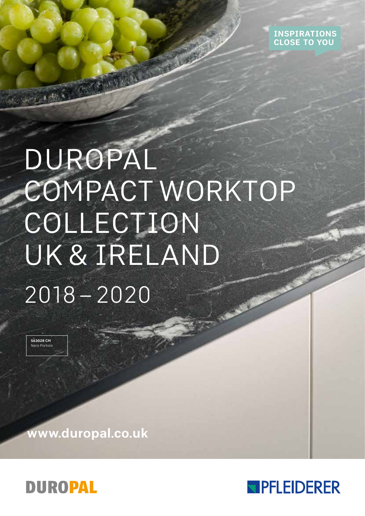

# DUROPAL COMPACT WORKTOP COLLECTION UK & IRELAND 2018 – 2020

S63028 CM Nero Portoro

www.duropal.co.uk



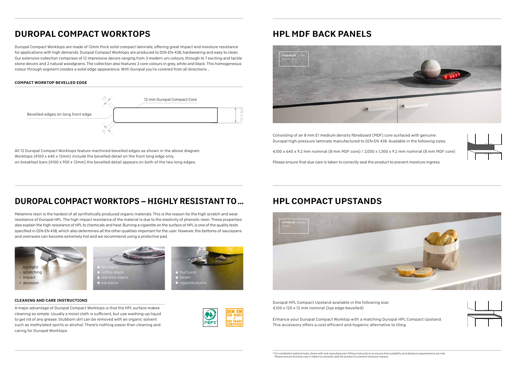### DUROPAL COMPACT WORKTOPS – HIGHLY RESISTANT TO ...

Melamine resin is the hardest of all synthetically produced organic materials. This is the reason for the high scratch and wear resistance of Duropal-HPL. The high impact resistance of the material is due to the elasticity of phenolic resin. These properties also explain the high resistance of HPL to chemicals and heat. Burning a cigarette on the surface of HPL is one of the quality tests specified in DIN-EN 438, which also determines all the other qualities important for the user. However, the bottoms of saucepans and ovenware can become extremely hot and we recommend using a protective pad.



## DUROPAL COMPACT WORKTOPS

Duropal Compact Worktops are made of 12mm thick solid compact laminate, offering great impact and moisture resistance for applications with high demands. Duropal Compact Worktops are produced to DIN-EN-438, hardwearing and easy to clean. Our extensive collection comprises of 12 impressive decors ranging from 3 modern uni colours, through to 7 exciting and tactile stone decors and 2 natural woodgrains. The collection also features 3 core colours in grey, white and black. This homogeneous colour through-pigment creates a solid edge appearance. With Duropal you're covered from all directions …

### HPL COMPACT UPSTANDS

- 
- 
- 







### HPL MDF BACK PANELS



#### COMPACT WORKTOP BEVELLED EDGE

#### CLEANING AND CARE INSTRUCTIONS

A major advantage of Duropal Compact Worktops is that the HPL surface makes cleaning so simple. Usually a moist cloth is sufficient, but use washing-up liquid to get rid of any grease. Stubborn dirt can be removed with an organic solvent such as methylated spirits or alcohol. There's nothing easier than cleaning and caring for Duropal Worktops.



Duropal HPL Compact Upstand available in the following size: 4,100 x 120 x 12 mm nominal (top edge bevelled)

Enhance your Duropal Compact Worktop with a matching Duropal HPL Compact Upstand. This accessory offers a cost-efficient and hygienic alternative to tiling.

Consisting of an 8 mm E1 medium density fibreboard (MDF) core surfaced with genuine Duropal high-pressure laminate manufactured to DIN-EN 438. Available in the following sizes:

4,100 x 640 x 9.2 mm nominal (8 mm MDF core) / 2,050 x 1,300 x 9.2 mm nominal (8 mm MDF core)

Please ensure that due care is taken to correctly seal the product to prevent moisture ingress.



All 12 Duropal Compact Worktops feature machined bevelled edges as shown in the above diagram. Worktops (4100 x 640 x 12mm) include the bevelled detail on the front long edge only, on breakfast bars (4100 x 950 x 12mm) the bevelled detail appears on both of the two long edges.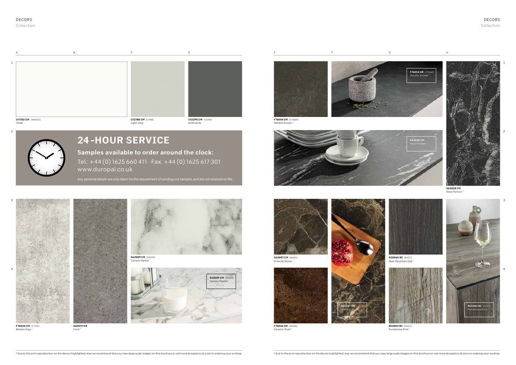|                                    |                                        | D.                              |                                       |  |                                                                             |
|------------------------------------|----------------------------------------|---------------------------------|---------------------------------------|--|-----------------------------------------------------------------------------|
|                                    |                                        |                                 |                                       |  | $\left\vert \text{F76054 GR } (\text{F7506P}) \right\vert$ Metallic brown * |
|                                    |                                        |                                 |                                       |  |                                                                             |
| <b>U11102 CM</b> (W00102)<br>Chalk | <b>U12188 CM</b> (U1188)<br>Light Grey | U12290 CM (U1290)<br>Anthracite | F76054 GR (F7506P)<br>Metallic brown* |  |                                                                             |



F76044 CM (F7709) Bellato Grey



**S63009 CM** (R6303) Carrara Marble



S63028 CM Nero Portoro



S63007 CM (R6301) Oriental Stone \*



2

3

4

1

3

4

S60019 GR Crick \*



Ceramic Rust \*















Ponderosa Pine \*

Collection

#### DECORS Collection

# 24 -HOUR SERVICE

Samples available to order around the clock: Tel.: +44 (0) 1625 660 411 . Fax: +44 (0) 1625 617 301 www.duropal.co.uk

Any personal details are only taken for the requirement of sending out samples and are not retained on file.

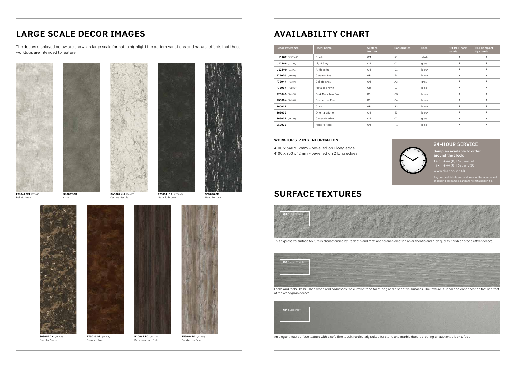### LARGE SCALE DECOR IMAGES

The decors displayed below are shown in large scale format to highlight the pattern variations and natural effects that these worktops are intended to feature.



S63028 CM

Nero Portoro



S63009 XM (R6303) Carrara Marble







Crick



F76054 GR (F7506P) Metallic brown



### AVAILABILITY CHART

| <b>Decor Reference</b> | <b>Decor name</b>   | <b>Surface</b><br>texture | <b>Coordinates</b> | Core  | <b>HPL MDF back</b><br>panels | <b>HPL Compact</b><br><b>Upstands</b> |
|------------------------|---------------------|---------------------------|--------------------|-------|-------------------------------|---------------------------------------|
| U11102 (W00102)        | Chalk               | <b>CM</b>                 | A1                 | white | $\bullet$                     | ٠                                     |
| U12188 (U1188)         | Light Grey          | <b>CM</b>                 | C1                 | grey  | ٠                             |                                       |
| U12290 (U1290)         | Anthracite          | <b>CM</b>                 | D <sub>1</sub>     | black | ۰                             | ٠                                     |
| F76026 (R6008)         | Ceramic Rust        | <b>GR</b>                 | E4                 | black | ٠                             | ٠                                     |
| F76044 (F7709)         | <b>Bellato Grey</b> | <b>CM</b>                 | A3                 | grey  | $\bullet$                     |                                       |
| F76054 (F7506P)        | Metallic brown      | GR                        | E1                 | black | ٠                             |                                       |
| R20065 (R4371)         | Dark Mountain Oak   | <b>RC</b>                 | G <sub>3</sub>     | black | ۰                             | ٠                                     |
| R55004 (R4531)         | Ponderosa Pine      | <b>RC</b>                 | G4                 | black | $\bullet$                     | $\bullet$                             |
| S60019                 | Crick               | <b>GR</b>                 | B <sub>3</sub>     | black | $\bullet$                     |                                       |
| S63007                 | Oriental Stone      | <b>CM</b>                 | E <sub>3</sub>     | black | $\bullet$                     | ٠                                     |
| S63009 (R6303)         | Carrara Marble      | <b>CM</b>                 | C <sub>3</sub>     | grey  | $\bullet$                     | ۰                                     |
| S63028                 | Nero Portoro        | <b>CM</b>                 | H1                 | black | ۰                             | ۰                                     |

#### WORKTOP SIZING INFORMATION

4100 x 640 x 12mm – bevelled on 1 long edge 4100 x 950 x 12mm – bevelled on 2 long edges

An elegant matt surface texture with a soft, fine touch. Particularly suited for stone and marble decors creating an authentic look & feel.

### SURFACE TEXTURES



Looks and feels like brushed wood and addresses the current trend for strong and distinctive surfaces. The texture is linear and enhances the tactile effect of the woodgrain decors.

This expressive surface texture is characterised by its depth and matt appearance creating an authentic and high quality finish on stone effect decors.





#### 24 -HOUR SERVICE

Samples available to order around the clock:

Tel.: +44 (0) 1625 660411 Fax: +44 (0) 1625 617 301

www.duropal.co.uk

Any personal details are only taken for the requirement of sending out samples and are not retained on file.

R20065 RC (R4371) Dark Mountain Oak

S63007 CM (R6301) Oriental Stone



Ceramic Rust

R55004 RC (R4531) Ponderosa Pine